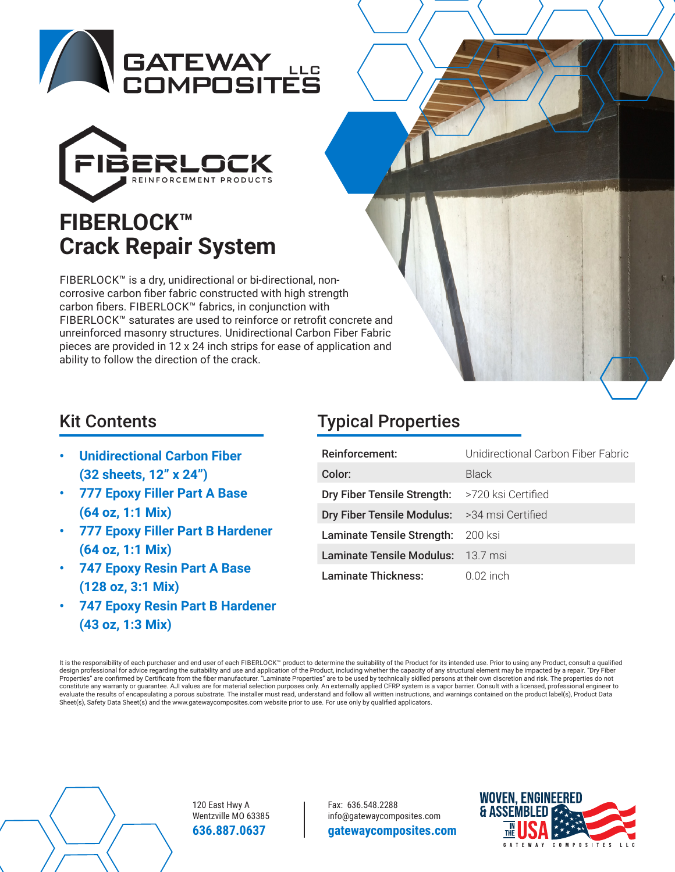



# **FIBERLOCK™ Crack Repair System**

FIBERLOCK™ is a dry, unidirectional or bi-directional, noncorrosive carbon fiber fabric constructed with high strength carbon fibers. FIBERLOCK™ fabrics, in conjunction with FIBERLOCK™ saturates are used to reinforce or retrofit concrete and unreinforced masonry structures. Unidirectional Carbon Fiber Fabric pieces are provided in 12 x 24 inch strips for ease of application and ability to follow the direction of the crack.

- **Unidirectional Carbon Fiber (32 sheets, 12" x 24")**
- **777 Epoxy Filler Part A Base (64 oz, 1:1 Mix)**
- **777 Epoxy Filler Part B Hardener (64 oz, 1:1 Mix)**
- **747 Epoxy Resin Part A Base (128 oz, 3:1 Mix)**
- **747 Epoxy Resin Part B Hardener (43 oz, 1:3 Mix)**

# Kit Contents **Typical Properties**

| Reinforcement:              | Unidirectional Carbon Fiber Fabric |
|-----------------------------|------------------------------------|
| Color:                      | Black                              |
| Dry Fiber Tensile Strength: | >720 ksi Certified                 |
| Dry Fiber Tensile Modulus:  | >34 msi Certified                  |
| Laminate Tensile Strength:  | -200 ksi                           |
| Laminate Tensile Modulus:   | 13.7 msi                           |
| Laminate Thickness:         | $0.02$ inch                        |

It is the responsibility of each purchaser and end user of each FIBERLOCK™ product to determine the suitability of the Product for its intended use. Prior to using any Product, consult a qualified design professional for advice regarding the suitability and use and application of the Product, including whether the capacity of any structural element may be impacted by a repair. "Dry Fiber Properties" are confirmed by Certificate from the fiber manufacturer. "Laminate Properties" are to be used by technically skilled persons at their own discretion and risk. The properties do not<br>constitute any warranty or g evaluate the results of encapsulating a porous substrate. The installer must read, understand and follow all written instructions, and warnings contained on the product label(s), Product Data Sheet(s), Safety Data Sheet(s) and the www.gatewaycomposites.com website prior to use. For use only by qualified applicators.



120 East Hwy A Wentzville MO 63385 **636.887.0637** 

Fax: 636.548.2288 info@gatewaycomposites.com **gatewaycomposites.com**

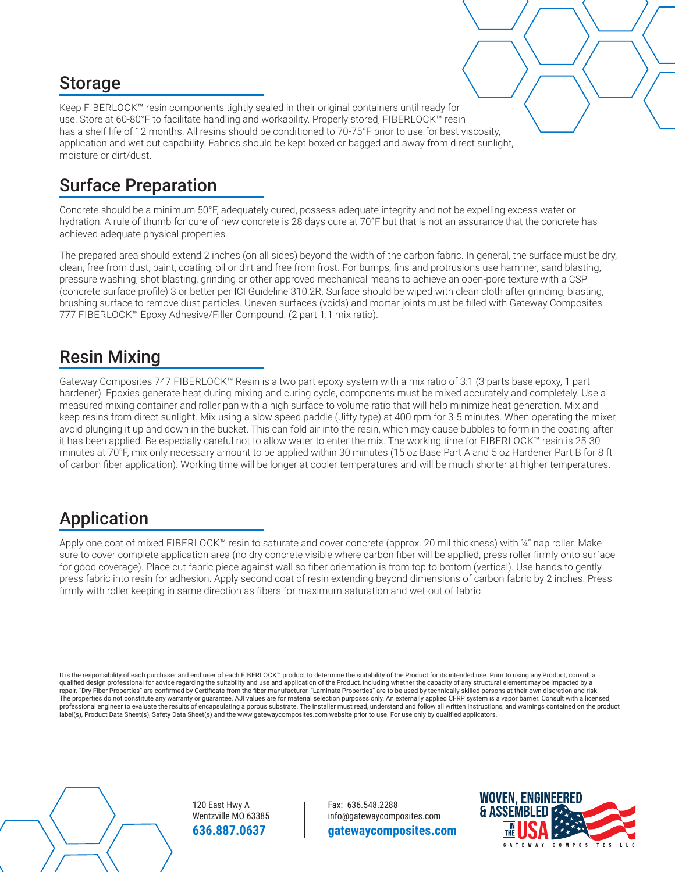#### Storage

Keep FIBERLOCK™ resin components tightly sealed in their original containers until ready for use. Store at 60-80°F to facilitate handling and workability. Properly stored, FIBERLOCK™ resin has a shelf life of 12 months. All resins should be conditioned to 70-75°F prior to use for best viscosity, application and wet out capability. Fabrics should be kept boxed or bagged and away from direct sunlight, moisture or dirt/dust.

#### Surface Preparation

Concrete should be a minimum 50°F, adequately cured, possess adequate integrity and not be expelling excess water or hydration. A rule of thumb for cure of new concrete is 28 days cure at 70°F but that is not an assurance that the concrete has achieved adequate physical properties.

The prepared area should extend 2 inches (on all sides) beyond the width of the carbon fabric. In general, the surface must be dry, clean, free from dust, paint, coating, oil or dirt and free from frost. For bumps, fins and protrusions use hammer, sand blasting, pressure washing, shot blasting, grinding or other approved mechanical means to achieve an open-pore texture with a CSP (concrete surface profile) 3 or better per ICI Guideline 310.2R. Surface should be wiped with clean cloth after grinding, blasting, brushing surface to remove dust particles. Uneven surfaces (voids) and mortar joints must be filled with Gateway Composites 777 FIBERLOCK™ Epoxy Adhesive/Filler Compound. (2 part 1:1 mix ratio).

#### Resin Mixing

Gateway Composites 747 FIBERLOCK™ Resin is a two part epoxy system with a mix ratio of 3:1 (3 parts base epoxy, 1 part hardener). Epoxies generate heat during mixing and curing cycle, components must be mixed accurately and completely. Use a measured mixing container and roller pan with a high surface to volume ratio that will help minimize heat generation. Mix and keep resins from direct sunlight. Mix using a slow speed paddle (Jiffy type) at 400 rpm for 3-5 minutes. When operating the mixer, avoid plunging it up and down in the bucket. This can fold air into the resin, which may cause bubbles to form in the coating after it has been applied. Be especially careful not to allow water to enter the mix. The working time for FIBERLOCK™ resin is 25-30 minutes at 70°F, mix only necessary amount to be applied within 30 minutes (15 oz Base Part A and 5 oz Hardener Part B for 8 ft of carbon fiber application). Working time will be longer at cooler temperatures and will be much shorter at higher temperatures.

#### Application

Apply one coat of mixed FIBERLOCK™ resin to saturate and cover concrete (approx. 20 mil thickness) with ¼" nap roller. Make sure to cover complete application area (no dry concrete visible where carbon fiber will be applied, press roller firmly onto surface for good coverage). Place cut fabric piece against wall so fiber orientation is from top to bottom (vertical). Use hands to gently press fabric into resin for adhesion. Apply second coat of resin extending beyond dimensions of carbon fabric by 2 inches. Press firmly with roller keeping in same direction as fibers for maximum saturation and wet-out of fabric.

It is the responsibility of each purchaser and end user of each FIBERLOCK™ product to determine the suitability of the Product for its intended use. Prior to using any Product, consult a qualified design professional for advice regarding the suitability and use and application of the Product, including whether the capacity of any structural element may be impacted by a repair. "Dry Fiber Properties" are confirmed by Certificate from the fiber manufacturer. "Laminate Properties" are to be used by technically skilled persons at their own discretion and risk. The properties do not constitute any warranty or guarantee. AJI values are for material selection purposes only. An externally applied CFRP system is a vapor barrier. Consult with a licensed, professional engineer to evaluate the results of encapsulating a porous substrate. The installer must read, understand and follow all written instructions, and warnings contained on the product label(s), Product Data Sheet(s), Safety Data Sheet(s) and the www.gatewaycomposites.com website prior to use. For use only by qualified applicators.



120 East Hwy A Wentzville MO 63385 **636.887.0637** 

Fax: 636.548.2288 info@gatewaycomposites.com **gatewaycomposites.com**